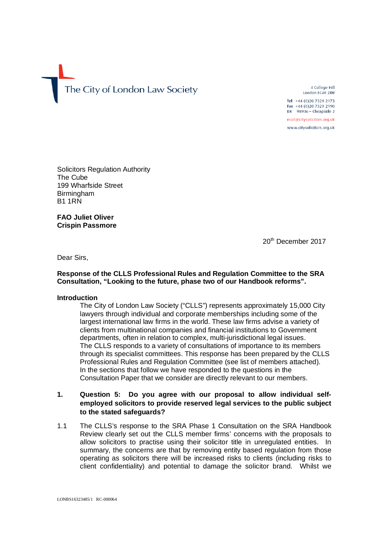The City of London Law Society

4 College Hill London FC4R 2RB

Tel +44 (0) 20 7329 2173 Fax +44 (0)20 7329 2190 DX  $98936$  - Cheapside 2

mail@citysolicitors.org.uk

www.citysolicitors.org.uk

Solicitors Regulation Authority The Cube 199 Wharfside Street **Birmingham** B1 1RN

**FAO Juliet Oliver Crispin Passmore** 

20<sup>th</sup> December 2017

Dear Sirs,

### **Response of the CLLS Professional Rules and Regulation Committee to the SRA Consultation, "Looking to the future, phase two of our Handbook reforms".**

### **Introduction**

The City of London Law Society ("CLLS") represents approximately 15,000 City lawyers through individual and corporate memberships including some of the largest international law firms in the world. These law firms advise a variety of clients from multinational companies and financial institutions to Government departments, often in relation to complex, multi-jurisdictional legal issues. The CLLS responds to a variety of consultations of importance to its members through its specialist committees. This response has been prepared by the CLLS Professional Rules and Regulation Committee (see list of members attached). In the sections that follow we have responded to the questions in the Consultation Paper that we consider are directly relevant to our members.

# **1. Question 5: Do you agree with our proposal to allow individual selfemployed solicitors to provide reserved legal services to the public subject to the stated safeguards?**

1.1 The CLLS's response to the SRA Phase 1 Consultation on the SRA Handbook Review clearly set out the CLLS member firms' concerns with the proposals to allow solicitors to practise using their solicitor title in unregulated entities. In summary, the concerns are that by removing entity based regulation from those operating as solicitors there will be increased risks to clients (including risks to client confidentiality) and potential to damage the solicitor brand. Whilst we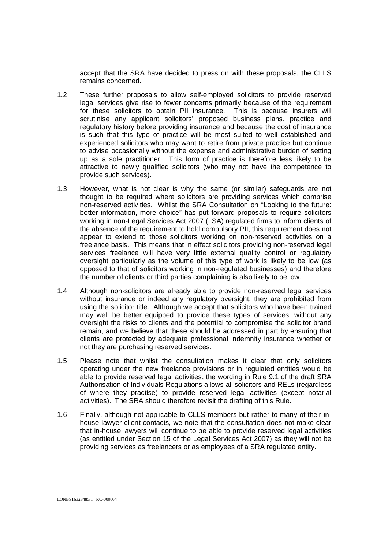accept that the SRA have decided to press on with these proposals, the CLLS remains concerned.

- 1.2 These further proposals to allow self-employed solicitors to provide reserved legal services give rise to fewer concerns primarily because of the requirement for these solicitors to obtain PII insurance. This is because insurers will scrutinise any applicant solicitors' proposed business plans, practice and regulatory history before providing insurance and because the cost of insurance is such that this type of practice will be most suited to well established and experienced solicitors who may want to retire from private practice but continue to advise occasionally without the expense and administrative burden of setting up as a sole practitioner. This form of practice is therefore less likely to be attractive to newly qualified solicitors (who may not have the competence to provide such services).
- 1.3 However, what is not clear is why the same (or similar) safeguards are not thought to be required where solicitors are providing services which comprise non-reserved activities. Whilst the SRA Consultation on "Looking to the future: better information, more choice" has put forward proposals to require solicitors working in non-Legal Services Act 2007 (LSA) regulated firms to inform clients of the absence of the requirement to hold compulsory PII, this requirement does not appear to extend to those solicitors working on non-reserved activities on a freelance basis. This means that in effect solicitors providing non-reserved legal services freelance will have very little external quality control or regulatory oversight particularly as the volume of this type of work is likely to be low (as opposed to that of solicitors working in non-regulated businesses) and therefore the number of clients or third parties complaining is also likely to be low.
- 1.4 Although non-solicitors are already able to provide non-reserved legal services without insurance or indeed any regulatory oversight, they are prohibited from using the solicitor title. Although we accept that solicitors who have been trained may well be better equipped to provide these types of services, without any oversight the risks to clients and the potential to compromise the solicitor brand remain, and we believe that these should be addressed in part by ensuring that clients are protected by adequate professional indemnity insurance whether or not they are purchasing reserved services.
- 1.5 Please note that whilst the consultation makes it clear that only solicitors operating under the new freelance provisions or in regulated entities would be able to provide reserved legal activities, the wording in Rule 9.1 of the draft SRA Authorisation of Individuals Regulations allows all solicitors and RELs (regardless of where they practise) to provide reserved legal activities (except notarial activities). The SRA should therefore revisit the drafting of this Rule.
- 1.6 Finally, although not applicable to CLLS members but rather to many of their inhouse lawyer client contacts, we note that the consultation does not make clear that in-house lawyers will continue to be able to provide reserved legal activities (as entitled under Section 15 of the Legal Services Act 2007) as they will not be providing services as freelancers or as employees of a SRA regulated entity.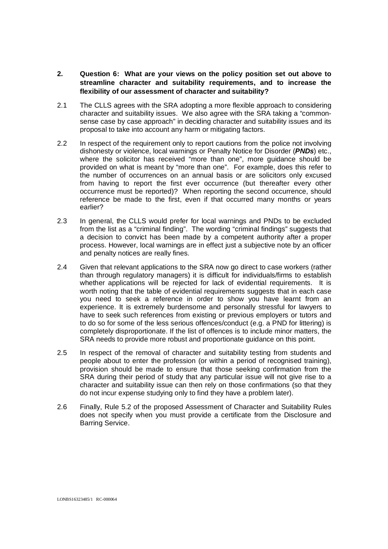- **2. Question 6: What are your views on the policy position set out above to streamline character and suitability requirements, and to increase the flexibility of our assessment of character and suitability?**
- 2.1 The CLLS agrees with the SRA adopting a more flexible approach to considering character and suitability issues. We also agree with the SRA taking a "commonsense case by case approach" in deciding character and suitability issues and its proposal to take into account any harm or mitigating factors.
- 2.2 In respect of the requirement only to report cautions from the police not involving dishonesty or violence, local warnings or Penalty Notice for Disorder (**PNDs**) etc., where the solicitor has received "more than one", more guidance should be provided on what is meant by "more than one". For example, does this refer to the number of occurrences on an annual basis or are solicitors only excused from having to report the first ever occurrence (but thereafter every other occurrence must be reported)? When reporting the second occurrence, should reference be made to the first, even if that occurred many months or years earlier?
- 2.3 In general, the CLLS would prefer for local warnings and PNDs to be excluded from the list as a "criminal finding". The wording "criminal findings" suggests that a decision to convict has been made by a competent authority after a proper process. However, local warnings are in effect just a subjective note by an officer and penalty notices are really fines.
- 2.4 Given that relevant applications to the SRA now go direct to case workers (rather than through regulatory managers) it is difficult for individuals/firms to establish whether applications will be rejected for lack of evidential requirements. It is worth noting that the table of evidential requirements suggests that in each case you need to seek a reference in order to show you have learnt from an experience. It is extremely burdensome and personally stressful for lawyers to have to seek such references from existing or previous employers or tutors and to do so for some of the less serious offences/conduct (e.g. a PND for littering) is completely disproportionate. If the list of offences is to include minor matters, the SRA needs to provide more robust and proportionate guidance on this point.
- 2.5 In respect of the removal of character and suitability testing from students and people about to enter the profession (or within a period of recognised training), provision should be made to ensure that those seeking confirmation from the SRA during their period of study that any particular issue will not give rise to a character and suitability issue can then rely on those confirmations (so that they do not incur expense studying only to find they have a problem later).
- 2.6 Finally, Rule 5.2 of the proposed Assessment of Character and Suitability Rules does not specify when you must provide a certificate from the Disclosure and Barring Service.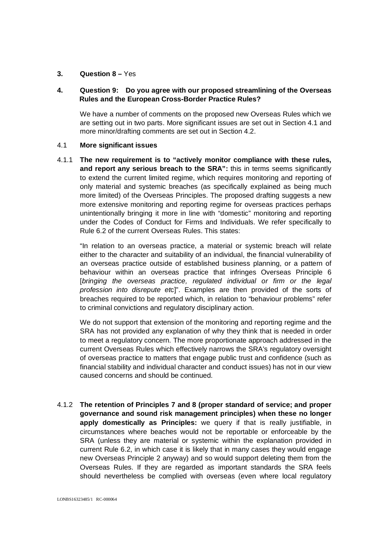## **3. Question 8 –** Yes

# **4. Question 9: Do you agree with our proposed streamlining of the Overseas Rules and the European Cross-Border Practice Rules?**

We have a number of comments on the proposed new Overseas Rules which we are setting out in two parts. More significant issues are set out in Section 4.1 and more minor/drafting comments are set out in Section 4.2.

### 4.1 **More significant issues**

4.1.1 **The new requirement is to "actively monitor compliance with these rules, and report any serious breach to the SRA":** this in terms seems significantly to extend the current limited regime, which requires monitoring and reporting of only material and systemic breaches (as specifically explained as being much more limited) of the Overseas Principles. The proposed drafting suggests a new more extensive monitoring and reporting regime for overseas practices perhaps unintentionally bringing it more in line with "domestic" monitoring and reporting under the Codes of Conduct for Firms and Individuals. We refer specifically to Rule 6.2 of the current Overseas Rules. This states:

"In relation to an overseas practice, a material or systemic breach will relate either to the character and suitability of an individual, the financial vulnerability of an overseas practice outside of established business planning, or a pattern of behaviour within an overseas practice that infringes Overseas Principle 6 [bringing the overseas practice, regulated individual or firm or the legal profession into disrepute etc]". Examples are then provided of the sorts of breaches required to be reported which, in relation to "behaviour problems" refer to criminal convictions and regulatory disciplinary action.

We do not support that extension of the monitoring and reporting regime and the SRA has not provided any explanation of why they think that is needed in order to meet a regulatory concern. The more proportionate approach addressed in the current Overseas Rules which effectively narrows the SRA's regulatory oversight of overseas practice to matters that engage public trust and confidence (such as financial stability and individual character and conduct issues) has not in our view caused concerns and should be continued.

4.1.2 **The retention of Principles 7 and 8 (proper standard of service; and proper governance and sound risk management principles) when these no longer apply domestically as Principles:** we query if that is really justifiable, in circumstances where beaches would not be reportable or enforceable by the SRA (unless they are material or systemic within the explanation provided in current Rule 6.2, in which case it is likely that in many cases they would engage new Overseas Principle 2 anyway) and so would support deleting them from the Overseas Rules. If they are regarded as important standards the SRA feels should nevertheless be complied with overseas (even where local regulatory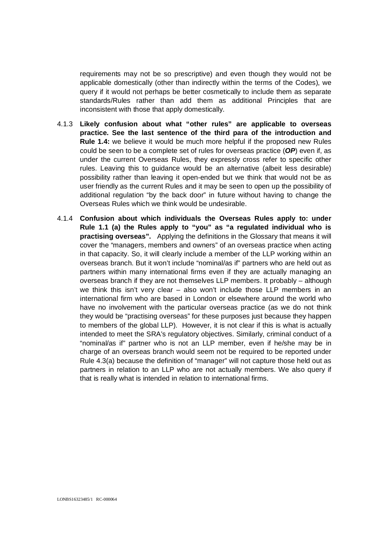requirements may not be so prescriptive) and even though they would not be applicable domestically (other than indirectly within the terms of the Codes), we query if it would not perhaps be better cosmetically to include them as separate standards/Rules rather than add them as additional Principles that are inconsistent with those that apply domestically.

- 4.1.3 **Likely confusion about what "other rules" are applicable to overseas practice. See the last sentence of the third para of the introduction and Rule 1.4:** we believe it would be much more helpful if the proposed new Rules could be seen to be a complete set of rules for overseas practice (**OP**) even if, as under the current Overseas Rules, they expressly cross refer to specific other rules. Leaving this to guidance would be an alternative (albeit less desirable) possibility rather than leaving it open-ended but we think that would not be as user friendly as the current Rules and it may be seen to open up the possibility of additional regulation "by the back door" in future without having to change the Overseas Rules which we think would be undesirable.
- 4.1.4 **Confusion about which individuals the Overseas Rules apply to: under Rule 1.1 (a) the Rules apply to "you" as "a regulated individual who is practising overseas".** Applying the definitions in the Glossary that means it will cover the "managers, members and owners" of an overseas practice when acting in that capacity. So, it will clearly include a member of the LLP working within an overseas branch. But it won't include "nominal/as if" partners who are held out as partners within many international firms even if they are actually managing an overseas branch if they are not themselves LLP members. It probably – although we think this isn't very clear – also won't include those LLP members in an international firm who are based in London or elsewhere around the world who have no involvement with the particular overseas practice (as we do not think they would be "practising overseas" for these purposes just because they happen to members of the global LLP). However, it is not clear if this is what is actually intended to meet the SRA's regulatory objectives. Similarly, criminal conduct of a "nominal/as if" partner who is not an LLP member, even if he/she may be in charge of an overseas branch would seem not be required to be reported under Rule 4.3(a) because the definition of "manager" will not capture those held out as partners in relation to an LLP who are not actually members. We also query if that is really what is intended in relation to international firms.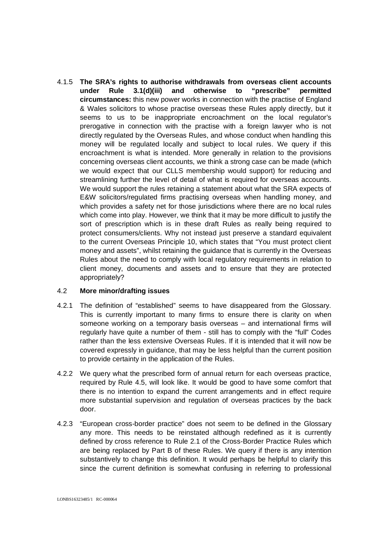4.1.5 **The SRA's rights to authorise withdrawals from overseas client accounts under Rule 3.1(d)(iii) and otherwise to "prescribe" permitted circumstances:** this new power works in connection with the practise of England & Wales solicitors to whose practise overseas these Rules apply directly, but it seems to us to be inappropriate encroachment on the local regulator's prerogative in connection with the practise with a foreign lawyer who is not directly regulated by the Overseas Rules, and whose conduct when handling this money will be regulated locally and subject to local rules. We query if this encroachment is what is intended. More generally in relation to the provisions concerning overseas client accounts, we think a strong case can be made (which we would expect that our CLLS membership would support) for reducing and streamlining further the level of detail of what is required for overseas accounts. We would support the rules retaining a statement about what the SRA expects of E&W solicitors/regulated firms practising overseas when handling money, and which provides a safety net for those jurisdictions where there are no local rules which come into play. However, we think that it may be more difficult to justify the sort of prescription which is in these draft Rules as really being required to protect consumers/clients. Why not instead just preserve a standard equivalent to the current Overseas Principle 10, which states that "You must protect client money and assets", whilst retaining the guidance that is currently in the Overseas Rules about the need to comply with local regulatory requirements in relation to client money, documents and assets and to ensure that they are protected appropriately?

### 4.2 **More minor/drafting issues**

- 4.2.1 The definition of "established" seems to have disappeared from the Glossary. This is currently important to many firms to ensure there is clarity on when someone working on a temporary basis overseas – and international firms will regularly have quite a number of them - still has to comply with the "full" Codes rather than the less extensive Overseas Rules. If it is intended that it will now be covered expressly in guidance, that may be less helpful than the current position to provide certainty in the application of the Rules.
- 4.2.2 We query what the prescribed form of annual return for each overseas practice, required by Rule 4.5, will look like. It would be good to have some comfort that there is no intention to expand the current arrangements and in effect require more substantial supervision and regulation of overseas practices by the back door.
- 4.2.3 "European cross-border practice" does not seem to be defined in the Glossary any more. This needs to be reinstated although redefined as it is currently defined by cross reference to Rule 2.1 of the Cross-Border Practice Rules which are being replaced by Part B of these Rules. We query if there is any intention substantively to change this definition. It would perhaps be helpful to clarify this since the current definition is somewhat confusing in referring to professional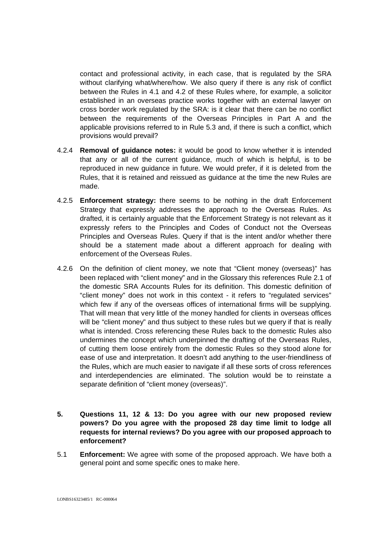contact and professional activity, in each case, that is regulated by the SRA without clarifying what/where/how. We also query if there is any risk of conflict between the Rules in 4.1 and 4.2 of these Rules where, for example, a solicitor established in an overseas practice works together with an external lawyer on cross border work regulated by the SRA: is it clear that there can be no conflict between the requirements of the Overseas Principles in Part A and the applicable provisions referred to in Rule 5.3 and, if there is such a conflict, which provisions would prevail?

- 4.2.4 **Removal of guidance notes:** it would be good to know whether it is intended that any or all of the current guidance, much of which is helpful, is to be reproduced in new guidance in future. We would prefer, if it is deleted from the Rules, that it is retained and reissued as guidance at the time the new Rules are made.
- 4.2.5 **Enforcement strategy:** there seems to be nothing in the draft Enforcement Strategy that expressly addresses the approach to the Overseas Rules. As drafted, it is certainly arguable that the Enforcement Strategy is not relevant as it expressly refers to the Principles and Codes of Conduct not the Overseas Principles and Overseas Rules. Query if that is the intent and/or whether there should be a statement made about a different approach for dealing with enforcement of the Overseas Rules.
- 4.2.6 On the definition of client money, we note that "Client money (overseas)" has been replaced with "client money" and in the Glossary this references Rule 2.1 of the domestic SRA Accounts Rules for its definition. This domestic definition of "client money" does not work in this context - it refers to "regulated services" which few if any of the overseas offices of international firms will be supplying. That will mean that very little of the money handled for clients in overseas offices will be "client money" and thus subject to these rules but we query if that is really what is intended. Cross referencing these Rules back to the domestic Rules also undermines the concept which underpinned the drafting of the Overseas Rules, of cutting them loose entirely from the domestic Rules so they stood alone for ease of use and interpretation. It doesn't add anything to the user-friendliness of the Rules, which are much easier to navigate if all these sorts of cross references and interdependencies are eliminated. The solution would be to reinstate a separate definition of "client money (overseas)".
- **5. Questions 11, 12 & 13: Do you agree with our new proposed review powers? Do you agree with the proposed 28 day time limit to lodge all requests for internal reviews? Do you agree with our proposed approach to enforcement?**
- 5.1 **Enforcement:** We agree with some of the proposed approach. We have both a general point and some specific ones to make here.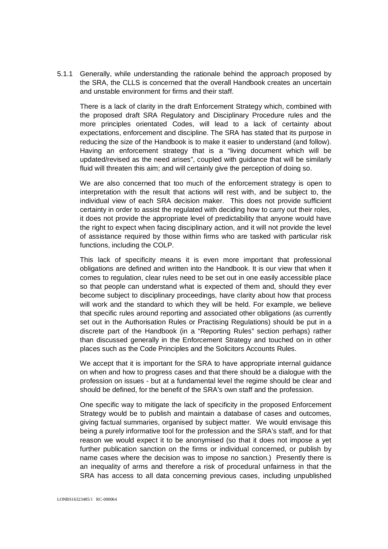5.1.1 Generally, while understanding the rationale behind the approach proposed by the SRA, the CLLS is concerned that the overall Handbook creates an uncertain and unstable environment for firms and their staff.

There is a lack of clarity in the draft Enforcement Strategy which, combined with the proposed draft SRA Regulatory and Disciplinary Procedure rules and the more principles orientated Codes, will lead to a lack of certainty about expectations, enforcement and discipline. The SRA has stated that its purpose in reducing the size of the Handbook is to make it easier to understand (and follow). Having an enforcement strategy that is a "living document which will be updated/revised as the need arises", coupled with guidance that will be similarly fluid will threaten this aim; and will certainly give the perception of doing so.

We are also concerned that too much of the enforcement strategy is open to interpretation with the result that actions will rest with, and be subject to, the individual view of each SRA decision maker. This does not provide sufficient certainty in order to assist the regulated with deciding how to carry out their roles, it does not provide the appropriate level of predictability that anyone would have the right to expect when facing disciplinary action, and it will not provide the level of assistance required by those within firms who are tasked with particular risk functions, including the COLP.

This lack of specificity means it is even more important that professional obligations are defined and written into the Handbook. It is our view that when it comes to regulation, clear rules need to be set out in one easily accessible place so that people can understand what is expected of them and, should they ever become subject to disciplinary proceedings, have clarity about how that process will work and the standard to which they will be held. For example, we believe that specific rules around reporting and associated other obligations (as currently set out in the Authorisation Rules or Practising Regulations) should be put in a discrete part of the Handbook (in a "Reporting Rules" section perhaps) rather than discussed generally in the Enforcement Strategy and touched on in other places such as the Code Principles and the Solicitors Accounts Rules.

We accept that it is important for the SRA to have appropriate internal guidance on when and how to progress cases and that there should be a dialogue with the profession on issues - but at a fundamental level the regime should be clear and should be defined, for the benefit of the SRA's own staff and the profession.

One specific way to mitigate the lack of specificity in the proposed Enforcement Strategy would be to publish and maintain a database of cases and outcomes, giving factual summaries, organised by subject matter. We would envisage this being a purely informative tool for the profession and the SRA's staff, and for that reason we would expect it to be anonymised (so that it does not impose a yet further publication sanction on the firms or individual concerned, or publish by name cases where the decision was to impose no sanction.) Presently there is an inequality of arms and therefore a risk of procedural unfairness in that the SRA has access to all data concerning previous cases, including unpublished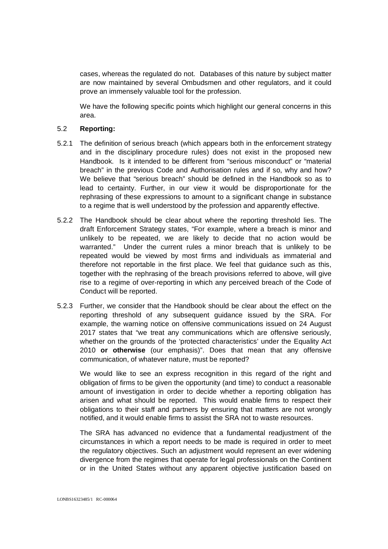cases, whereas the regulated do not. Databases of this nature by subject matter are now maintained by several Ombudsmen and other regulators, and it could prove an immensely valuable tool for the profession.

We have the following specific points which highlight our general concerns in this area.

### 5.2 **Reporting:**

- 5.2.1 The definition of serious breach (which appears both in the enforcement strategy and in the disciplinary procedure rules) does not exist in the proposed new Handbook. Is it intended to be different from "serious misconduct" or "material breach" in the previous Code and Authorisation rules and if so, why and how? We believe that "serious breach" should be defined in the Handbook so as to lead to certainty. Further, in our view it would be disproportionate for the rephrasing of these expressions to amount to a significant change in substance to a regime that is well understood by the profession and apparently effective.
- 5.2.2 The Handbook should be clear about where the reporting threshold lies. The draft Enforcement Strategy states, "For example, where a breach is minor and unlikely to be repeated, we are likely to decide that no action would be warranted." Under the current rules a minor breach that is unlikely to be repeated would be viewed by most firms and individuals as immaterial and therefore not reportable in the first place. We feel that guidance such as this, together with the rephrasing of the breach provisions referred to above, will give rise to a regime of over-reporting in which any perceived breach of the Code of Conduct will be reported.
- 5.2.3 Further, we consider that the Handbook should be clear about the effect on the reporting threshold of any subsequent guidance issued by the SRA. For example, the warning notice on offensive communications issued on 24 August 2017 states that "we treat any communications which are offensive seriously, whether on the grounds of the 'protected characteristics' under the Equality Act 2010 **or otherwise** (our emphasis)". Does that mean that any offensive communication, of whatever nature, must be reported?

We would like to see an express recognition in this regard of the right and obligation of firms to be given the opportunity (and time) to conduct a reasonable amount of investigation in order to decide whether a reporting obligation has arisen and what should be reported. This would enable firms to respect their obligations to their staff and partners by ensuring that matters are not wrongly notified, and it would enable firms to assist the SRA not to waste resources.

The SRA has advanced no evidence that a fundamental readjustment of the circumstances in which a report needs to be made is required in order to meet the regulatory objectives. Such an adjustment would represent an ever widening divergence from the regimes that operate for legal professionals on the Continent or in the United States without any apparent objective justification based on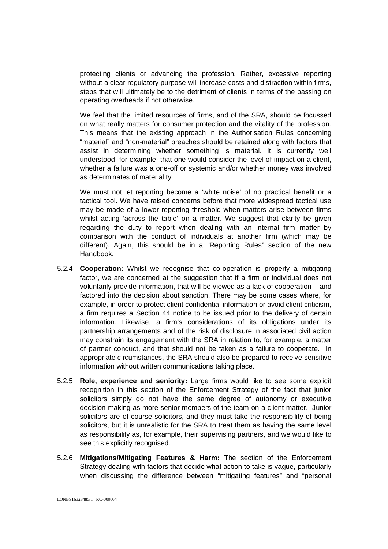protecting clients or advancing the profession. Rather, excessive reporting without a clear regulatory purpose will increase costs and distraction within firms, steps that will ultimately be to the detriment of clients in terms of the passing on operating overheads if not otherwise.

We feel that the limited resources of firms, and of the SRA, should be focussed on what really matters for consumer protection and the vitality of the profession. This means that the existing approach in the Authorisation Rules concerning "material" and "non-material" breaches should be retained along with factors that assist in determining whether something is material. It is currently well understood, for example, that one would consider the level of impact on a client, whether a failure was a one-off or systemic and/or whether money was involved as determinates of materiality.

We must not let reporting become a 'white noise' of no practical benefit or a tactical tool. We have raised concerns before that more widespread tactical use may be made of a lower reporting threshold when matters arise between firms whilst acting 'across the table' on a matter. We suggest that clarity be given regarding the duty to report when dealing with an internal firm matter by comparison with the conduct of individuals at another firm (which may be different). Again, this should be in a "Reporting Rules" section of the new Handbook.

- 5.2.4 **Cooperation:** Whilst we recognise that co-operation is properly a mitigating factor, we are concerned at the suggestion that if a firm or individual does not voluntarily provide information, that will be viewed as a lack of cooperation – and factored into the decision about sanction. There may be some cases where, for example, in order to protect client confidential information or avoid client criticism, a firm requires a Section 44 notice to be issued prior to the delivery of certain information. Likewise, a firm's considerations of its obligations under its partnership arrangements and of the risk of disclosure in associated civil action may constrain its engagement with the SRA in relation to, for example, a matter of partner conduct, and that should not be taken as a failure to cooperate. In appropriate circumstances, the SRA should also be prepared to receive sensitive information without written communications taking place.
- 5.2.5 **Role, experience and seniority:** Large firms would like to see some explicit recognition in this section of the Enforcement Strategy of the fact that junior solicitors simply do not have the same degree of autonomy or executive decision-making as more senior members of the team on a client matter. Junior solicitors are of course solicitors, and they must take the responsibility of being solicitors, but it is unrealistic for the SRA to treat them as having the same level as responsibility as, for example, their supervising partners, and we would like to see this explicitly recognised.
- 5.2.6 **Mitigations/Mitigating Features & Harm:** The section of the Enforcement Strategy dealing with factors that decide what action to take is vague, particularly when discussing the difference between "mitigating features" and "personal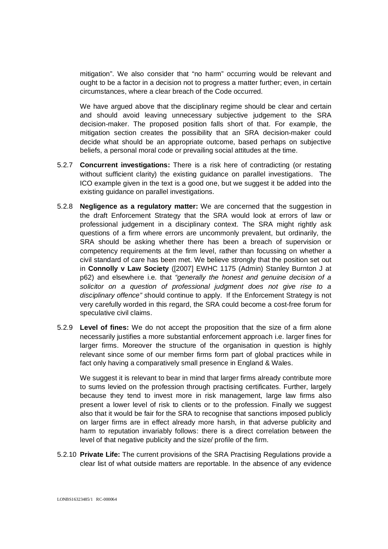mitigation". We also consider that "no harm" occurring would be relevant and ought to be a factor in a decision not to progress a matter further; even, in certain circumstances, where a clear breach of the Code occurred.

We have argued above that the disciplinary regime should be clear and certain and should avoid leaving unnecessary subjective judgement to the SRA decision-maker. The proposed position falls short of that. For example, the mitigation section creates the possibility that an SRA decision-maker could decide what should be an appropriate outcome, based perhaps on subjective beliefs, a personal moral code or prevailing social attitudes at the time.

- 5.2.7 **Concurrent investigations:** There is a risk here of contradicting (or restating without sufficient clarity) the existing guidance on parallel investigations. The ICO example given in the text is a good one, but we suggest it be added into the existing guidance on parallel investigations.
- 5.2.8 **Negligence as a regulatory matter:** We are concerned that the suggestion in the draft Enforcement Strategy that the SRA would look at errors of law or professional judgement in a disciplinary context. The SRA might rightly ask questions of a firm where errors are uncommonly prevalent, but ordinarily, the SRA should be asking whether there has been a breach of supervision or competency requirements at the firm level, rather than focussing on whether a civil standard of care has been met. We believe strongly that the position set out in **Connolly v Law Society** ([2007] EWHC 1175 (Admin) Stanley Burnton J at p62) and elsewhere i.e. that "generally the honest and genuine decision of a solicitor on a question of professional judgment does not give rise to a disciplinary offence" should continue to apply. If the Enforcement Strategy is not very carefully worded in this regard, the SRA could become a cost-free forum for speculative civil claims.
- 5.2.9 **Level of fines:** We do not accept the proposition that the size of a firm alone necessarily justifies a more substantial enforcement approach i.e. larger fines for larger firms. Moreover the structure of the organisation in question is highly relevant since some of our member firms form part of global practices while in fact only having a comparatively small presence in England & Wales.

We suggest it is relevant to bear in mind that larger firms already contribute more to sums levied on the profession through practising certificates. Further, largely because they tend to invest more in risk management, large law firms also present a lower level of risk to clients or to the profession. Finally we suggest also that it would be fair for the SRA to recognise that sanctions imposed publicly on larger firms are in effect already more harsh, in that adverse publicity and harm to reputation invariably follows: there is a direct correlation between the level of that negative publicity and the size/ profile of the firm.

5.2.10 **Private Life:** The current provisions of the SRA Practising Regulations provide a clear list of what outside matters are reportable. In the absence of any evidence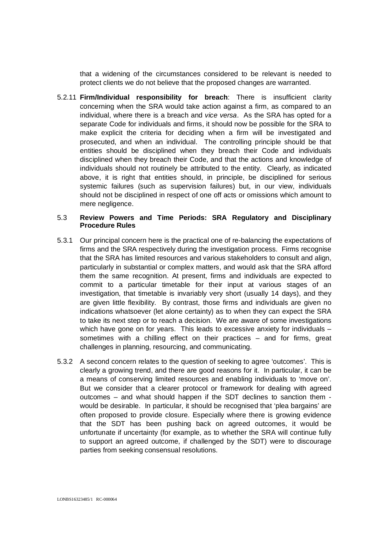that a widening of the circumstances considered to be relevant is needed to protect clients we do not believe that the proposed changes are warranted.

5.2.11 **Firm/Individual responsibility for breach**: There is insufficient clarity concerning when the SRA would take action against a firm, as compared to an individual, where there is a breach and vice versa. As the SRA has opted for a separate Code for individuals and firms, it should now be possible for the SRA to make explicit the criteria for deciding when a firm will be investigated and prosecuted, and when an individual. The controlling principle should be that entities should be disciplined when they breach their Code and individuals disciplined when they breach their Code, and that the actions and knowledge of individuals should not routinely be attributed to the entity. Clearly, as indicated above, it is right that entities should, in principle, be disciplined for serious systemic failures (such as supervision failures) but, in our view, individuals should not be disciplined in respect of one off acts or omissions which amount to mere negligence.

## 5.3 **Review Powers and Time Periods: SRA Regulatory and Disciplinary Procedure Rules**

- 5.3.1 Our principal concern here is the practical one of re-balancing the expectations of firms and the SRA respectively during the investigation process. Firms recognise that the SRA has limited resources and various stakeholders to consult and align, particularly in substantial or complex matters, and would ask that the SRA afford them the same recognition. At present, firms and individuals are expected to commit to a particular timetable for their input at various stages of an investigation, that timetable is invariably very short (usually 14 days), and they are given little flexibility. By contrast, those firms and individuals are given no indications whatsoever (let alone certainty) as to when they can expect the SRA to take its next step or to reach a decision. We are aware of some investigations which have gone on for years. This leads to excessive anxiety for individuals – sometimes with a chilling effect on their practices – and for firms, great challenges in planning, resourcing, and communicating.
- 5.3.2 A second concern relates to the question of seeking to agree 'outcomes'. This is clearly a growing trend, and there are good reasons for it. In particular, it can be a means of conserving limited resources and enabling individuals to 'move on'. But we consider that a clearer protocol or framework for dealing with agreed outcomes – and what should happen if the SDT declines to sanction them would be desirable. In particular, it should be recognised that 'plea bargains' are often proposed to provide closure. Especially where there is growing evidence that the SDT has been pushing back on agreed outcomes, it would be unfortunate if uncertainty (for example, as to whether the SRA will continue fully to support an agreed outcome, if challenged by the SDT) were to discourage parties from seeking consensual resolutions.